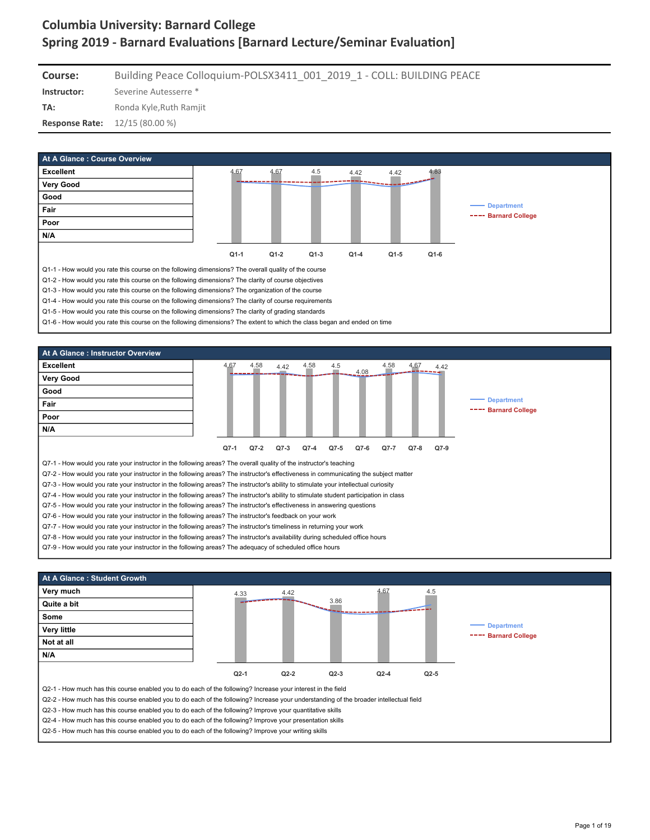**Course:** Building Peace Colloquium-POLSX3411\_001\_2019\_1 - COLL: BUILDING PEACE

**Instructor:** Severine Autesserre \*

**TA:** Ronda Kyle, Ruth Ramjit

**Response Rate:** 12/15 (80.00 %)







Q2-5 - How much has this course enabled you to do each of the following? Improve your writing skills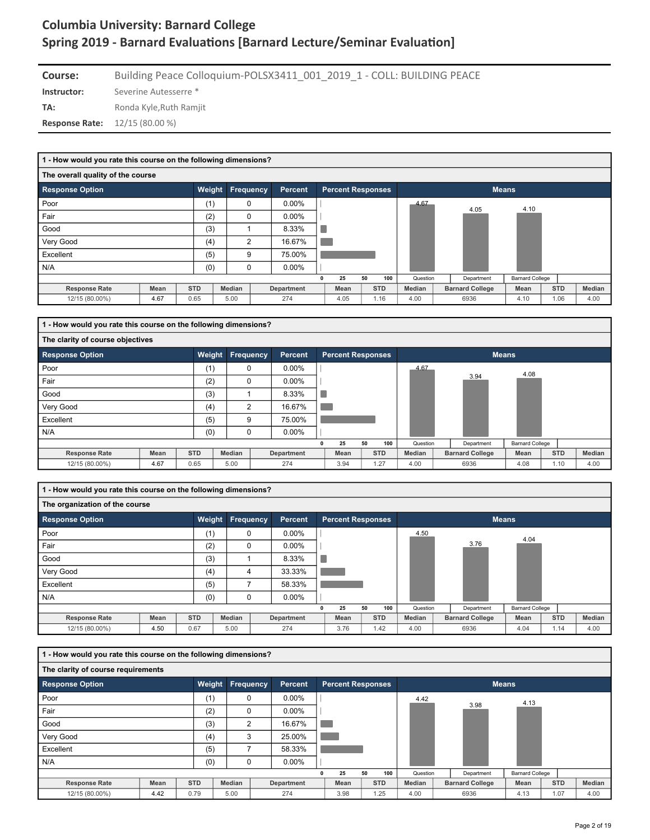| Course:                                | Building Peace Colloquium-POLSX3411 001 2019 1 - COLL: BUILDING PEACE |
|----------------------------------------|-----------------------------------------------------------------------|
| Instructor:                            | Severine Autesserre *                                                 |
| TA:                                    | Ronda Kyle, Ruth Ramjit                                               |
| <b>Response Rate:</b> $12/15(80.00\%)$ |                                                                       |

| 1 - How would you rate this course on the following dimensions? |      |            |                  |                   |   |                          |    |            |          |                        |                        |            |        |
|-----------------------------------------------------------------|------|------------|------------------|-------------------|---|--------------------------|----|------------|----------|------------------------|------------------------|------------|--------|
| The overall quality of the course                               |      |            |                  |                   |   |                          |    |            |          |                        |                        |            |        |
| <b>Response Option</b>                                          |      | Weight     | <b>Frequency</b> | Percent           |   | <b>Percent Responses</b> |    |            |          |                        | <b>Means</b>           |            |        |
| Poor                                                            |      | (1)        | 0                | $0.00\%$          |   |                          |    |            | 4.67     | 4.05                   | 4.10                   |            |        |
| Fair                                                            |      | (2)        | 0                | $0.00\%$          |   |                          |    |            |          |                        |                        |            |        |
| Good                                                            |      | (3)        |                  | 8.33%             |   |                          |    |            |          |                        |                        |            |        |
| Very Good                                                       |      | (4)        | 2                | 16.67%            |   |                          |    |            |          |                        |                        |            |        |
| Excellent                                                       |      | (5)        | 9                | 75.00%            |   |                          |    |            |          |                        |                        |            |        |
| N/A                                                             |      | (0)        | 0                | $0.00\%$          |   |                          |    |            |          |                        |                        |            |        |
|                                                                 |      |            |                  |                   | 0 | 25                       | 50 | 100        | Question | Department             | <b>Barnard College</b> |            |        |
| <b>Response Rate</b>                                            | Mean | <b>STD</b> | Median           | <b>Department</b> |   | Mean                     |    | <b>STD</b> | Median   | <b>Barnard College</b> | Mean                   | <b>STD</b> | Median |
| 12/15 (80.00%)                                                  | 4.67 | 0.65       | 5.00             | 274               |   | 4.05                     |    | 1.16       | 4.00     | 6936                   | 4.10                   | 1.06       | 4.00   |

| 1 - How would you rate this course on the following dimensions? |      |            |                  |            |   |                          |    |            |          |                        |                        |            |        |
|-----------------------------------------------------------------|------|------------|------------------|------------|---|--------------------------|----|------------|----------|------------------------|------------------------|------------|--------|
| The clarity of course objectives                                |      |            |                  |            |   |                          |    |            |          |                        |                        |            |        |
| <b>Response Option</b>                                          |      | Weight     | <b>Frequency</b> | Percent    |   | <b>Percent Responses</b> |    |            |          |                        | <b>Means</b>           |            |        |
| Poor                                                            |      | (1)        | 0                | $0.00\%$   |   |                          |    |            | 4.67     |                        | 4.08                   |            |        |
| Fair                                                            |      | (2)        | $\Omega$         | $0.00\%$   |   |                          |    |            |          | 3.94                   |                        |            |        |
| Good                                                            |      | (3)        |                  | 8.33%      |   |                          |    |            |          |                        |                        |            |        |
| Very Good                                                       |      | (4)        | 2                | 16.67%     |   |                          |    |            |          |                        |                        |            |        |
| Excellent                                                       |      | (5)        | 9                | 75.00%     |   |                          |    |            |          |                        |                        |            |        |
| N/A                                                             |      | (0)        | $\Omega$         | $0.00\%$   |   |                          |    |            |          |                        |                        |            |        |
|                                                                 |      |            |                  |            | 0 | 25                       | 50 | 100        | Question | Department             | <b>Barnard College</b> |            |        |
| <b>Response Rate</b>                                            | Mean | <b>STD</b> | Median           | Department |   | Mean                     |    | <b>STD</b> | Median   | <b>Barnard College</b> | Mean                   | <b>STD</b> | Median |
| 12/15 (80.00%)                                                  | 4.67 | 0.65       | 5.00             | 274        |   | 3.94                     |    | 1.27       | 4.00     | 6936                   | 4.08                   | 1.10       | 4.00   |

**1 - How would you rate this course on the following dimensions?**

| The organization of the course |             |            |                  |                |   |                          |    |            |          |                        |                        |            |        |
|--------------------------------|-------------|------------|------------------|----------------|---|--------------------------|----|------------|----------|------------------------|------------------------|------------|--------|
| <b>Response Option</b>         |             |            | Weight Frequency | <b>Percent</b> |   | <b>Percent Responses</b> |    |            |          |                        | <b>Means</b>           |            |        |
| Poor                           |             | (1)        | 0                | $0.00\%$       |   |                          |    |            | 4.50     |                        | 4.04                   |            |        |
| Fair                           |             | (2)        | $\mathbf 0$      | $0.00\%$       |   |                          |    |            |          | 3.76                   |                        |            |        |
| Good                           |             | (3)        |                  | 8.33%          |   |                          |    |            |          |                        |                        |            |        |
| Very Good                      |             | (4)        | 4                | 33.33%         |   |                          |    |            |          |                        |                        |            |        |
| Excellent                      |             | (5)        |                  | 58.33%         |   |                          |    |            |          |                        |                        |            |        |
| N/A                            |             | (0)        | 0                | $0.00\%$       |   |                          |    |            |          |                        |                        |            |        |
|                                |             |            |                  |                | 0 | 25                       | 50 | 100        | Question | Department             | <b>Barnard College</b> |            |        |
| <b>Response Rate</b>           | <b>Mean</b> | <b>STD</b> | Median           | Department     |   | Mean                     |    | <b>STD</b> | Median   | <b>Barnard College</b> | Mean                   | <b>STD</b> | Median |
| 12/15 (80.00%)                 | 4.50        | 0.67       | 5.00             | 274            |   | 3.76                     |    | 1.42       | 4.00     | 6936                   | 4.04                   | 1.14       | 4.00   |

| 1 - How would you rate this course on the following dimensions? |      |            |                |            |                          |    |            |          |                        |                        |            |        |
|-----------------------------------------------------------------|------|------------|----------------|------------|--------------------------|----|------------|----------|------------------------|------------------------|------------|--------|
| The clarity of course requirements                              |      |            |                |            |                          |    |            |          |                        |                        |            |        |
| Response Option                                                 |      | Weight     | Frequency      | Percent    | <b>Percent Responses</b> |    |            |          |                        | <b>Means</b>           |            |        |
| Poor                                                            |      | (1)        | 0              | $0.00\%$   |                          |    |            | 4.42     |                        | 4.13                   |            |        |
| Fair                                                            |      | (2)        | 0              | $0.00\%$   |                          |    |            |          | 3.98                   |                        |            |        |
| Good                                                            |      | (3)        | $\overline{2}$ | 16.67%     |                          |    |            |          |                        |                        |            |        |
| Very Good                                                       |      | (4)        | 3              | 25.00%     |                          |    |            |          |                        |                        |            |        |
| Excellent                                                       |      | (5)        |                | 58.33%     |                          |    |            |          |                        |                        |            |        |
| N/A                                                             |      | (0)        | 0              | $0.00\%$   |                          |    |            |          |                        |                        |            |        |
|                                                                 |      |            |                |            | 25                       | 50 | 100        | Question | Department             | <b>Barnard College</b> |            |        |
| <b>Response Rate</b>                                            | Mean | <b>STD</b> | Median         | Department | Mean                     |    | <b>STD</b> | Median   | <b>Barnard College</b> | Mean                   | <b>STD</b> | Median |
| 12/15 (80.00%)                                                  | 4.42 | 0.79       | 5.00           | 274        | 3.98                     |    | 1.25       | 4.00     | 6936                   | 4.13                   | 1.07       | 4.00   |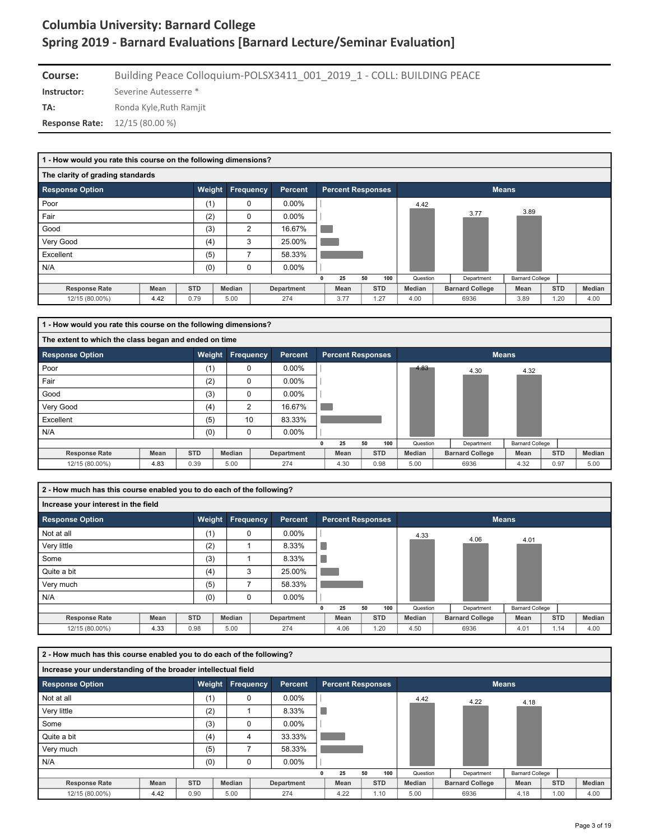| Course:                                | Building Peace Colloquium-POLSX3411 001 2019 1 - COLL: BUILDING PEACE |
|----------------------------------------|-----------------------------------------------------------------------|
| Instructor:                            | Severine Autesserre *                                                 |
| TA:                                    | Ronda Kyle, Ruth Ramjit                                               |
| <b>Response Rate:</b> $12/15(80.00\%)$ |                                                                       |

| 1 - How would you rate this course on the following dimensions? |      |            |                  |            |   |                          |    |            |          |                        |                        |            |        |
|-----------------------------------------------------------------|------|------------|------------------|------------|---|--------------------------|----|------------|----------|------------------------|------------------------|------------|--------|
| The clarity of grading standards                                |      |            |                  |            |   |                          |    |            |          |                        |                        |            |        |
| <b>Response Option</b>                                          |      | Weight     | <b>Frequency</b> | Percent    |   | <b>Percent Responses</b> |    |            |          |                        | <b>Means</b>           |            |        |
| Poor                                                            |      | (1)        | $\Omega$         | $0.00\%$   |   |                          |    |            | 4.42     |                        |                        |            |        |
| Fair                                                            |      | (2)        | 0                | $0.00\%$   |   |                          |    |            |          | 3.77                   | 3.89                   |            |        |
| Good                                                            |      | (3)        | $\overline{2}$   | 16.67%     |   |                          |    |            |          |                        |                        |            |        |
| Very Good                                                       |      | (4)        | 3                | 25.00%     |   |                          |    |            |          |                        |                        |            |        |
| Excellent                                                       |      | (5)        | 7                | 58.33%     |   |                          |    |            |          |                        |                        |            |        |
| N/A                                                             |      | (0)        | 0                | $0.00\%$   |   |                          |    |            |          |                        |                        |            |        |
|                                                                 |      |            |                  |            | 0 | 25                       | 50 | 100        | Question | Department             | <b>Barnard College</b> |            |        |
| <b>Response Rate</b>                                            | Mean | <b>STD</b> | Median           | Department |   | Mean                     |    | <b>STD</b> | Median   | <b>Barnard College</b> | Mean                   | <b>STD</b> | Median |
| 12/15 (80.00%)                                                  | 4.42 | 0.79       | 5.00             | 274        |   | 3.77                     |    | 1.27       | 4.00     | 6936                   | 3.89                   | 1.20       | 4.00   |

| 1 - How would you rate this course on the following dimensions? |      |            |           |            |                          |    |            |          |                        |                        |            |        |
|-----------------------------------------------------------------|------|------------|-----------|------------|--------------------------|----|------------|----------|------------------------|------------------------|------------|--------|
| The extent to which the class began and ended on time           |      |            |           |            |                          |    |            |          |                        |                        |            |        |
| <b>Response Option</b>                                          |      | Weight     | Frequency | Percent    | <b>Percent Responses</b> |    |            |          |                        | <b>Means</b>           |            |        |
| Poor                                                            |      | (1)        | $\Omega$  | $0.00\%$   |                          |    |            | 4.83     | 4.30                   | 4.32                   |            |        |
| Fair                                                            |      | (2)        | 0         | $0.00\%$   |                          |    |            |          |                        |                        |            |        |
| Good                                                            |      | (3)        | $\Omega$  | $0.00\%$   |                          |    |            |          |                        |                        |            |        |
| Very Good                                                       |      | (4)        | 2         | 16.67%     |                          |    |            |          |                        |                        |            |        |
| Excellent                                                       |      | (5)        | 10        | 83.33%     |                          |    |            |          |                        |                        |            |        |
| N/A                                                             |      | (0)        | 0         | $0.00\%$   |                          |    |            |          |                        |                        |            |        |
|                                                                 |      |            |           |            | 25                       | 50 | 100        | Question | Department             | <b>Barnard College</b> |            |        |
| <b>Response Rate</b>                                            | Mean | <b>STD</b> | Median    | Department | Mean                     |    | <b>STD</b> | Median   | <b>Barnard College</b> | Mean                   | <b>STD</b> | Median |
| 12/15 (80.00%)                                                  | 4.83 | 0.39       | 5.00      | 274        | 4.30                     |    | 0.98       | 5.00     | 6936                   | 4.32                   | 0.97       | 5.00   |

**2 - How much has this course enabled you to do each of the following?**

| Increase your interest in the field |      |            |           |                |   |                          |    |            |          |                        |                        |            |        |  |
|-------------------------------------|------|------------|-----------|----------------|---|--------------------------|----|------------|----------|------------------------|------------------------|------------|--------|--|
| <b>Response Option</b>              |      | Weight     | Frequency | <b>Percent</b> |   | <b>Percent Responses</b> |    |            |          |                        | <b>Means</b>           |            |        |  |
| Not at all                          |      | (1)        | 0         | $0.00\%$       |   |                          |    |            | 4.33     | 4.06                   | 4.01                   |            |        |  |
| Very little                         |      | (2)        |           | 8.33%          |   |                          |    |            |          |                        |                        |            |        |  |
| Some                                |      | (3)        |           | 8.33%          |   |                          |    |            |          |                        |                        |            |        |  |
| Quite a bit                         |      | (4)        | 3         | 25.00%         |   |                          |    |            |          |                        |                        |            |        |  |
| Very much                           |      | (5)        |           | 58.33%         |   |                          |    |            |          |                        |                        |            |        |  |
| N/A                                 |      | (0)        | 0         | $0.00\%$       |   |                          |    |            |          |                        |                        |            |        |  |
|                                     |      |            |           |                | 0 | 25                       | 50 | 100        | Question | Department             | <b>Barnard College</b> |            |        |  |
| <b>Response Rate</b>                | Mean | <b>STD</b> | Median    | Department     |   | Mean                     |    | <b>STD</b> | Median   | <b>Barnard College</b> | Mean                   | <b>STD</b> | Median |  |
| 12/15 (80.00%)                      | 4.33 | 0.98       | 5.00      | 274            |   | 4.06                     |    | 1.20       | 4.50     | 6936                   | 4.01                   | 1.14       | 4.00   |  |

| 2 - How much has this course enabled you to do each of the following? |             |            |     |                         |                |                          |    |            |               |                        |                        |            |        |
|-----------------------------------------------------------------------|-------------|------------|-----|-------------------------|----------------|--------------------------|----|------------|---------------|------------------------|------------------------|------------|--------|
| Increase your understanding of the broader intellectual field         |             |            |     |                         |                |                          |    |            |               |                        |                        |            |        |
| <b>Response Option</b>                                                |             |            |     | <b>Weight Frequency</b> | <b>Percent</b> | <b>Percent Responses</b> |    |            |               |                        | <b>Means</b>           |            |        |
| Not at all                                                            |             |            | (1) | $\Omega$                | $0.00\%$       |                          |    |            | 4.42          | 4.22                   | 4.18                   |            |        |
| Very little                                                           |             |            | (2) |                         | 8.33%          |                          |    |            |               |                        |                        |            |        |
| Some                                                                  |             |            | (3) | $\Omega$                | $0.00\%$       |                          |    |            |               |                        |                        |            |        |
| Quite a bit                                                           |             |            | (4) | 4                       | 33.33%         |                          |    |            |               |                        |                        |            |        |
| Very much                                                             |             |            | (5) |                         | 58.33%         |                          |    |            |               |                        |                        |            |        |
| N/A                                                                   |             |            | (0) | $\Omega$                | $0.00\%$       |                          |    |            |               |                        |                        |            |        |
|                                                                       |             |            |     |                         |                | 25                       | 50 | 100        | Question      | Department             | <b>Barnard College</b> |            |        |
| <b>Response Rate</b>                                                  | <b>Mean</b> | <b>STD</b> |     | Median                  | Department     | Mean                     |    | <b>STD</b> | <b>Median</b> | <b>Barnard College</b> | Mean                   | <b>STD</b> | Median |
| 12/15 (80.00%)                                                        | 4.42        | 0.90       |     | 5.00                    | 274            | 4.22                     |    | 1.10       | 5.00          | 6936                   | 4.18                   | 1.00       | 4.00   |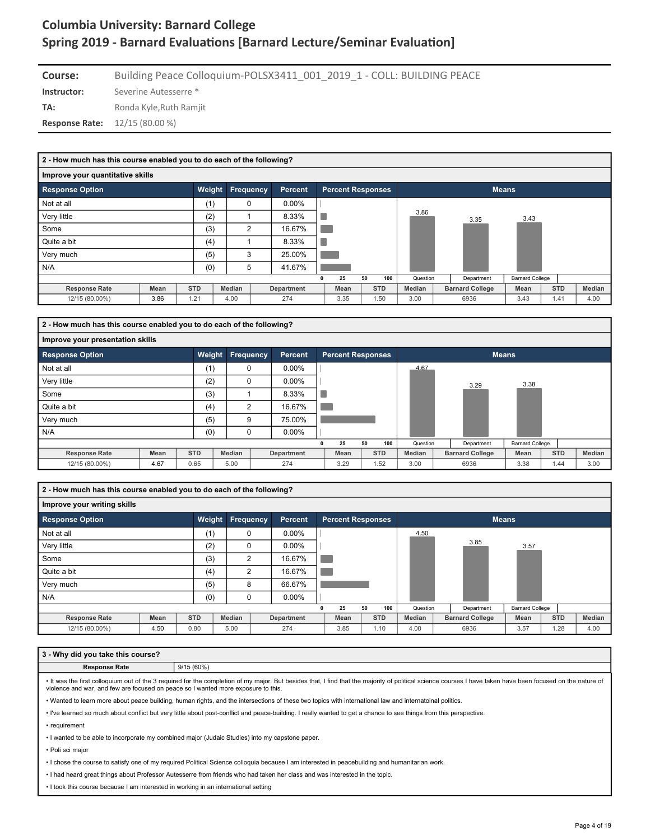| Course:                                | Building Peace Colloquium-POLSX3411 001 2019 1 - COLL: BUILDING PEACE |
|----------------------------------------|-----------------------------------------------------------------------|
| Instructor:                            | Severine Autesserre *                                                 |
| TA:                                    | Ronda Kyle.Ruth Ramiit                                                |
| <b>Response Rate:</b> $12/15(80.00\%)$ |                                                                       |

| Improve your quantitative skills                                                            | <b>Means</b>                                                     |
|---------------------------------------------------------------------------------------------|------------------------------------------------------------------|
|                                                                                             |                                                                  |
| Weight<br><b>Response Option</b><br>Frequency<br><b>Percent</b><br><b>Percent Responses</b> |                                                                  |
| (1)<br>Not at all<br>$0.00\%$<br>$\mathbf 0$                                                |                                                                  |
| Very little<br>(2)<br>8.33%<br>ш                                                            | 3.86<br>3.43<br>3.35                                             |
| Some<br>(3)<br>16.67%<br>$\overline{2}$                                                     |                                                                  |
| Quite a bit<br>8.33%<br>(4)                                                                 |                                                                  |
| (5)<br>3<br>25.00%<br>Very much                                                             |                                                                  |
| N/A<br>(0)<br>41.67%<br>5                                                                   |                                                                  |
| 25<br>50<br>100<br>$\mathbf{0}$                                                             | <b>Barnard College</b><br>Question<br>Department                 |
| <b>STD</b><br>Median<br>Mean<br><b>STD</b><br><b>Response Rate</b><br>Department<br>Mean    | <b>STD</b><br>Median<br>Median<br><b>Barnard College</b><br>Mean |
| 3.86<br>1.21<br>3.35<br>12/15 (80.00%)<br>4.00<br>274<br>1.50                               | 3.00<br>3.43<br>1.41<br>6936<br>4.00                             |

| 2 - How much has this course enabled you to do each of the following? |      |            |             |                |  |                          |    |            |               |  |                        |                        |            |        |
|-----------------------------------------------------------------------|------|------------|-------------|----------------|--|--------------------------|----|------------|---------------|--|------------------------|------------------------|------------|--------|
| Improve your presentation skills                                      |      |            |             |                |  |                          |    |            |               |  |                        |                        |            |        |
| <b>Response Option</b>                                                |      | Weight     | Frequency   | <b>Percent</b> |  | <b>Percent Responses</b> |    |            |               |  | <b>Means</b>           |                        |            |        |
| Not at all                                                            |      | (1)        | $\mathbf 0$ | $0.00\%$       |  |                          |    |            | 4.67          |  |                        |                        |            |        |
| Very little                                                           |      | (2)        | 0           | $0.00\%$       |  |                          |    |            |               |  | 3.29                   | 3.38                   |            |        |
| Some                                                                  |      | (3)        |             | 8.33%          |  |                          |    |            |               |  |                        |                        |            |        |
| Quite a bit                                                           |      | (4)        | 2           | 16.67%         |  |                          |    |            |               |  |                        |                        |            |        |
| Very much                                                             |      | (5)        | 9           | 75.00%         |  |                          |    |            |               |  |                        |                        |            |        |
| N/A                                                                   |      | (0)        | $\mathbf 0$ | $0.00\%$       |  |                          |    |            |               |  |                        |                        |            |        |
|                                                                       |      |            |             |                |  | 25                       | 50 | 100        | Question      |  | Department             | <b>Barnard College</b> |            |        |
| <b>Response Rate</b>                                                  | Mean | <b>STD</b> | Median      | Department     |  | Mean                     |    | <b>STD</b> | <b>Median</b> |  | <b>Barnard College</b> | Mean                   | <b>STD</b> | Median |
| 12/15 (80.00%)                                                        | 4.67 | 0.65       | 5.00        | 274            |  | 3.29                     |    | 1.52       | 3.00          |  | 6936                   | 3.38                   | 1.44       | 3.00   |

**2 - How much has this course enabled you to do each of the following?**

#### **Improve your writing skills Response Option Weight Frequency Percent Percent Responses Means** 4.50 Not at all  $(1)$   $(2)$  0.00% 3.85  $V$ ery little  $(2)$  0 0.00%  $\mathbf{I}$ 3.57 **The State** Some (3) 2 16.67% Quite a bit (4)  $\begin{array}{|c|c|c|c|c|c|c|c|c|} \hline \end{array}$  (4)  $\begin{array}{|c|c|c|c|c|c|c|c|c|} \hline \end{array}$  16.67%  $\overline{\phantom{a}}$ Very much (5) 8 66.67% . N/A (0) 0 0.00% **0 25 50 100 Question Department Barnard College Response Rate Mean STD Median Department Mean STD Median Barnard College Mean STD Median** 12/15 (80.00%) | 4.50 | 0.80 | 5.00 | 274 | 3.85 | 1.10 | 4.00 | 6936 | 3.57 | 1.28 | 4.00

#### **3 - Why did you take this course?**

**Response Rate** 9/15 (60%)

• It was the first colloquium out of the 3 required for the completion of my major. But besides that, I find that the majority of political science courses I have taken have been focused on the nature of violence and war, and few are focused on peace so I wanted more exposure to this.

• Wanted to learn more about peace building, human rights, and the intersections of these two topics with international law and internatoinal politics.

• I've learned so much about conflict but very little about post-conflict and peace-building. I really wanted to get a chance to see things from this perspective.

• requirement

• I wanted to be able to incorporate my combined major (Judaic Studies) into my capstone paper.

• Poli sci major

• I chose the course to satisfy one of my required Political Science colloquia because I am interested in peacebuilding and humanitarian work.

• I had heard great things about Professor Autesserre from friends who had taken her class and was interested in the topic.

• I took this course because I am interested in working in an international setting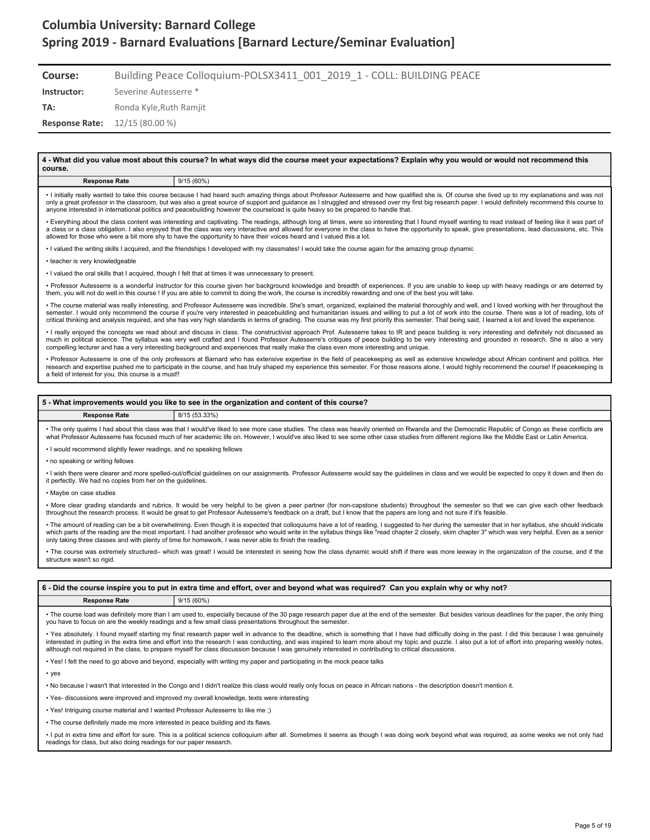| Course:                                 | Building Peace Colloquium-POLSX3411 001 2019 1 - COLL: BUILDING PEACE |
|-----------------------------------------|-----------------------------------------------------------------------|
| Instructor:                             | Severine Autesserre *                                                 |
| TA:                                     | Ronda Kyle.Ruth Ramiit                                                |
| <b>Response Rate:</b> $12/15 (80.00 %)$ |                                                                       |

**4 - What did you value most about this course? In what ways did the course meet your expectations? Explain why you would or would not recommend this course. Response Rate** 9/15 (60%) • I initially really wanted to take this course because I had heard such amazing things about Professor Autesserre and how qualified she is. Of course she lived up to my explanations and was not only a great professor in the classroom, but was also a great source of support and guidance as I struggled and stressed over my first big research paper. I would definitely recommend this course to<br>anyone interested in in • Everything about the class content was interesting and captivating. The readings, although long at times, were so interesting that I found myself wanting to read instead of feeling like it was part of a class or a class obligation. I also enjoyed that the class was very interactive and allowed for everyone in the class to have the opportunity to speak, give presentations, lead discussions, etc. This allowed for those who were a bit more shy to have the opportunity to have their voices heard and I valued this a lot. • I valued the writing skills I acquired, and the friendships I developed with my classmates! I would take the course again for the amazing group dynamic • teacher is very knowledgeable • I valued the oral skills that I acquired, though I felt that at times it was unnecessary to present. • Professor Autesserre is a wonderful instructor for this course given her background knowledge and breadth of experiences. If you are unable to keep up with heavy readings or are deterred by them, you will not do well in this course ! If you are able to commit to doing the work, the course is incredibly rewarding and one of the best you will take. • The course material was really interesting, and Professor Autesserre was incredible. She's smart, organized, explained the material thoroughly and well, and I loved working with her throughout the semester. I would only recommend the course if you're very interested in peacebuilding and humanitarian issues and willing to put a lot of work into the course. There was a lot of reading, lots of critical thinking and analysis required, and she has very high standards in terms of grading. The course was my first priority this semester. That being said, I learned a lot and loved the experience.

• I really enjoyed the concepts we read about and discuss in class. The constructivist approach Prof. Autesserre takes to IR and peace building is very interesting and definitely not discussed as much in political science. The syllabus was very well crafted and I found Professor Autesserre's critiques of peace building to be very interesting and grounded in research. She is also a very compelling lecturer and has a very interesting background and experiences that really make the class even more interesting and unique.

• Professor Autesserre is one of the only professors at Barnard who has extensive expertise in the field of peacekeeping as well as extensive knowledge about African continent and politics. Her<br>research and expertise pushe a field of interest for you, this course is a must!!

#### **5 - What improvements would you like to see in the organization and content of this course?**

**Response Rate** 8/15 (53.33%)

• The only qualms I had about this class was that I would've liked to see more case studies. The class was heavily oriented on Rwanda and the Democratic Republic of Congo as these conflicts are what Professor Autesserre has focused much of her academic life on. However, I would've also liked to see some other case studies from different regions like the Middle East or Latin America.

• I would recommend slightly fewer readings, and no speaking fellows

• no speaking or writing fellows

• I wish there were clearer and more spelled-out/official guidelines on our assignments. Professor Autesserre would say the guidelines in class and we would be expected to copy it down and then do it perfectly. We had no copies from her on the guidelines.

• Maybe on case studies

• More clear grading standards and rubrics. It would be very helpful to be given a peer partner (for non-capstone students) throughout the semester so that we can give each other feedback throughout the research process. It would be great to get Professor Autesserre's feedback on a draft, but I know that the papers are long and not sure if it's feasible.

• The amount of reading can be a bit overwhelming. Even though it is expected that colloquiums have a lot of reading, I suggested to her during the semester that in her syllabus, she should indicate<br>which parts of the read only taking three classes and with plenty of time for homework, I was never able to finish the reading.

• The course was extremely structured– which was great! I would be interested in seeing how the class dynamic would shift if there was more leeway in the organization of the course, and if the structure wasn't so rigid.

|                                                                                                                                                                                      | 6 - Did the course inspire you to put in extra time and effort, over and beyond what was required? Can you explain why or why not? |  |  |  |  |  |  |  |
|--------------------------------------------------------------------------------------------------------------------------------------------------------------------------------------|------------------------------------------------------------------------------------------------------------------------------------|--|--|--|--|--|--|--|
| <b>Response Rate</b>                                                                                                                                                                 | 9/15(60%)                                                                                                                          |  |  |  |  |  |  |  |
| . The secure lead was definitely mean than I am wead to conseively because a fibe 20 none means and as the and of the compater. Dut beginner wais up dealings for the name the anti- |                                                                                                                                    |  |  |  |  |  |  |  |

• The course load was definitely more than I am used to, especially because of the 30 page research paper due at the end of the semester. But besides various deadlines for the paper, the only thing you have to focus on are the weekly readings and a few small class presentations throughout the semester.

• Yes absolutely. I found myself starting my final research paper well in advance to the deadline, which is something that I have had difficulty doing in the past. I did this because I was genuinely interested in putting in the extra time and effort into the research I was conducting, and was inspired to learn more about my topic and puzzle. I also put a lot of effort into preparing weekly notes, although not required in the class, to prepare myself for class discussion because I was genuinely interested in contributing to critical discussions.

• Yes! I felt the need to go above and beyond, especially with writing my paper and participating in the mock peace talks

• yes

• No because I wasn't that interested in the Congo and I didn't realize this class would really only focus on peace in African nations - the description doesn't mention it.

- Yes- discussions were improved and improved my overall knowledge, texts were interesting
- Yes! Intriguing course material and I wanted Professor Autesserre to like me ;)

• The course definitely made me more interested in peace building and its flaws.

• I put in extra time and effort for sure. This is a political science colloquium after all. Sometimes it seems as though I was doing work beyond what was required, as some weeks we not only had readings for class, but also doing readings for our paper research.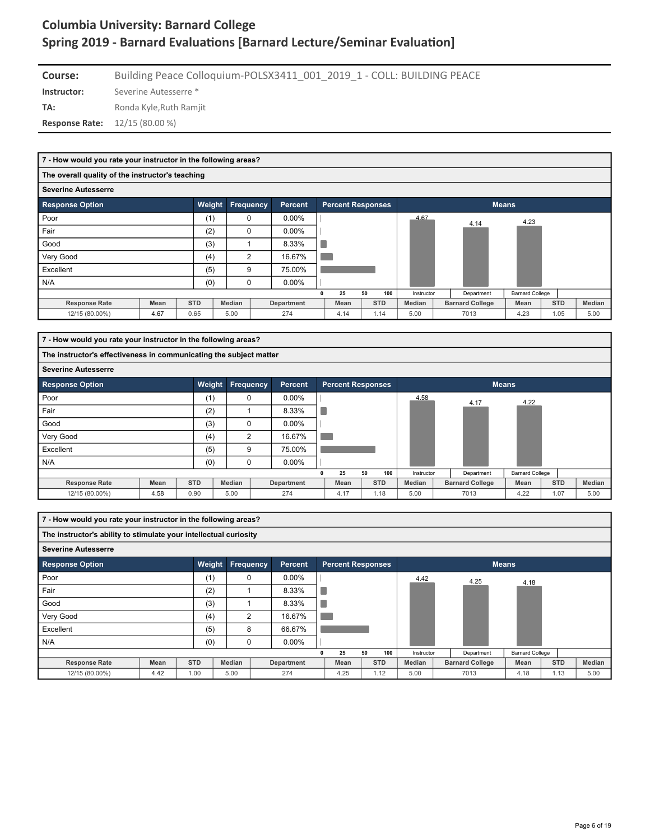| Course:                                | Building Peace Colloquium-POLSX3411 001 2019 1 - COLL: BUILDING PEACE |
|----------------------------------------|-----------------------------------------------------------------------|
| Instructor:                            | Severine Autesserre *                                                 |
| TA:                                    | Ronda Kyle, Ruth Ramjit                                               |
| <b>Response Rate:</b> $12/15(80.00\%)$ |                                                                       |

|                                                  | 7 - How would you rate your instructor in the following areas? |            |                          |                |            |  |      |              |            |            |                        |                        |            |        |
|--------------------------------------------------|----------------------------------------------------------------|------------|--------------------------|----------------|------------|--|------|--------------|------------|------------|------------------------|------------------------|------------|--------|
| The overall quality of the instructor's teaching |                                                                |            |                          |                |            |  |      |              |            |            |                        |                        |            |        |
| <b>Severine Autesserre</b>                       |                                                                |            |                          |                |            |  |      |              |            |            |                        |                        |            |        |
| <b>Response Option</b>                           | <b>Percent</b>                                                 |            | <b>Percent Responses</b> |                |            |  |      | <b>Means</b> |            |            |                        |                        |            |        |
| Poor                                             |                                                                | (1)        |                          | $\mathbf 0$    | $0.00\%$   |  |      |              |            | 4.67       | 4.14                   | 4.23                   |            |        |
| Fair                                             |                                                                | (2)        |                          | $\Omega$       | $0.00\%$   |  |      |              |            |            |                        |                        |            |        |
| Good                                             |                                                                | (3)        |                          |                | 8.33%      |  |      |              |            |            |                        |                        |            |        |
| Very Good                                        |                                                                | (4)        |                          | $\overline{2}$ | 16.67%     |  |      |              |            |            |                        |                        |            |        |
| Excellent                                        |                                                                | (5)        |                          | 9              | 75.00%     |  |      |              |            |            |                        |                        |            |        |
| N/A                                              |                                                                | (0)        |                          | $\mathbf 0$    | $0.00\%$   |  |      |              |            |            |                        |                        |            |        |
|                                                  |                                                                |            |                          |                |            |  | 25   | 50           | 100        | Instructor | Department             | <b>Barnard College</b> |            |        |
| <b>Response Rate</b>                             | Mean                                                           | <b>STD</b> | Median                   |                | Department |  | Mean |              | <b>STD</b> | Median     | <b>Barnard College</b> | Mean                   | <b>STD</b> | Median |
| 12/15 (80.00%)                                   | 4.67                                                           | 0.65       | 5.00                     |                | 274        |  | 4.14 |              | 1.14       | 5.00       | 7013                   | 4.23                   | 1.05       | 5.00   |

| 7 - How would you rate your instructor in the following areas? |                                                                    |            |        |                  |                   |   |                          |    |            |            |                        |                        |            |        |
|----------------------------------------------------------------|--------------------------------------------------------------------|------------|--------|------------------|-------------------|---|--------------------------|----|------------|------------|------------------------|------------------------|------------|--------|
|                                                                | The instructor's effectiveness in communicating the subject matter |            |        |                  |                   |   |                          |    |            |            |                        |                        |            |        |
| <b>Severine Autesserre</b>                                     |                                                                    |            |        |                  |                   |   |                          |    |            |            |                        |                        |            |        |
| <b>Response Option</b>                                         |                                                                    | Weight     |        | <b>Frequency</b> | <b>Percent</b>    |   | <b>Percent Responses</b> |    |            |            |                        | <b>Means</b>           |            |        |
| Poor                                                           |                                                                    | (1)        |        | 0                | $0.00\%$          |   |                          |    |            | 4.58       | 4.17                   | 4.22                   |            |        |
| Fair                                                           |                                                                    | (2)        |        |                  | 8.33%             |   |                          |    |            |            |                        |                        |            |        |
| Good                                                           |                                                                    | (3)        |        | $\Omega$         | $0.00\%$          |   |                          |    |            |            |                        |                        |            |        |
| Very Good                                                      |                                                                    | (4)        |        | 2                | 16.67%            |   |                          |    |            |            |                        |                        |            |        |
| Excellent                                                      |                                                                    | (5)        |        | 9                | 75.00%            |   |                          |    |            |            |                        |                        |            |        |
| N/A                                                            |                                                                    | (0)        |        | 0                | $0.00\%$          |   |                          |    |            |            |                        |                        |            |        |
|                                                                |                                                                    |            |        |                  |                   | 0 | 25                       | 50 | 100        | Instructor | Department             | <b>Barnard College</b> |            |        |
| <b>Response Rate</b>                                           | Mean                                                               | <b>STD</b> | Median |                  | <b>Department</b> |   | Mean                     |    | <b>STD</b> | Median     | <b>Barnard College</b> | Mean                   | <b>STD</b> | Median |
| 12/15 (80.00%)                                                 | 4.58                                                               | 0.90       | 5.00   |                  | 274               |   | 4.17                     |    | 1.18       | 5.00       | 7013                   | 4.22                   | 1.07       | 5.00   |

| 7 - How would you rate your instructor in the following areas? |                                                                   |            |               |  |            |   |                          |            |     |               |                        |                        |            |      |        |
|----------------------------------------------------------------|-------------------------------------------------------------------|------------|---------------|--|------------|---|--------------------------|------------|-----|---------------|------------------------|------------------------|------------|------|--------|
|                                                                | The instructor's ability to stimulate your intellectual curiosity |            |               |  |            |   |                          |            |     |               |                        |                        |            |      |        |
| <b>Severine Autesserre</b>                                     |                                                                   |            |               |  |            |   |                          |            |     |               |                        |                        |            |      |        |
| Weight<br>Frequency<br><b>Response Option</b><br>Percent       |                                                                   |            |               |  |            |   | <b>Percent Responses</b> |            |     |               |                        | <b>Means</b>           |            |      |        |
| Poor                                                           |                                                                   | (1)        | $\mathbf 0$   |  | $0.00\%$   |   |                          |            |     | 4.42          | 4.25                   | 4.18                   |            |      |        |
| Fair                                                           |                                                                   | (2)        |               |  | 8.33%      |   |                          |            |     |               |                        |                        |            |      |        |
| Good                                                           |                                                                   | (3)        |               |  | 8.33%      |   |                          |            |     |               |                        |                        |            |      |        |
| Very Good                                                      |                                                                   | (4)        | 2             |  | 16.67%     |   |                          |            |     |               |                        |                        |            |      |        |
| Excellent                                                      |                                                                   | (5)        | 8             |  | 66.67%     |   |                          |            |     |               |                        |                        |            |      |        |
| N/A                                                            |                                                                   | (0)        | $\mathbf 0$   |  | $0.00\%$   |   |                          |            |     |               |                        |                        |            |      |        |
|                                                                |                                                                   |            |               |  |            | 0 | 25                       | 50         | 100 | Instructor    | Department             | <b>Barnard College</b> |            |      |        |
| <b>Response Rate</b>                                           | <b>Mean</b>                                                       | <b>STD</b> | <b>Median</b> |  | Department |   | Mean                     | <b>STD</b> |     | <b>Median</b> | <b>Barnard College</b> | Mean                   | <b>STD</b> |      | Median |
| 12/15 (80.00%)                                                 | 4.42                                                              | 1.00       | 5.00          |  | 274        |   | 4.25                     | 1.12       |     | 5.00          | 7013                   | 4.18                   |            | 1.13 | 5.00   |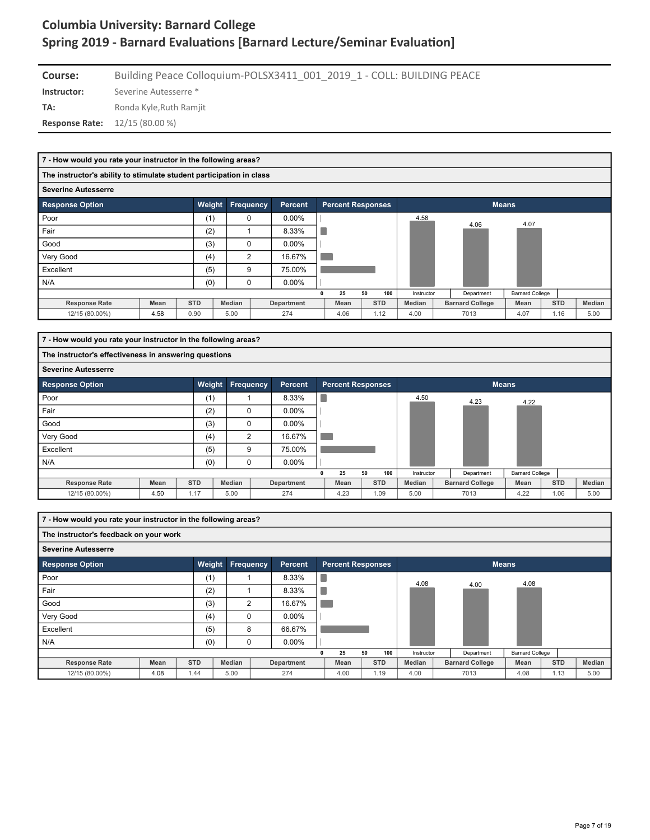| Course:                                | Building Peace Colloquium-POLSX3411 001 2019 1 - COLL: BUILDING PEACE |
|----------------------------------------|-----------------------------------------------------------------------|
| Instructor:                            | Severine Autesserre *                                                 |
| TA:                                    | Ronda Kyle.Ruth Ramiit                                                |
| <b>Response Rate:</b> $12/15(80.00\%)$ |                                                                       |

|                            | 7 - How would you rate your instructor in the following areas?       |            |                  |  |                   |    |                          |    |            |            |  |                        |                        |            |        |
|----------------------------|----------------------------------------------------------------------|------------|------------------|--|-------------------|----|--------------------------|----|------------|------------|--|------------------------|------------------------|------------|--------|
|                            | The instructor's ability to stimulate student participation in class |            |                  |  |                   |    |                          |    |            |            |  |                        |                        |            |        |
| <b>Severine Autesserre</b> |                                                                      |            |                  |  |                   |    |                          |    |            |            |  |                        |                        |            |        |
| <b>Response Option</b>     |                                                                      | Weight     | <b>Frequency</b> |  | Percent           |    | <b>Percent Responses</b> |    |            |            |  | <b>Means</b>           |                        |            |        |
| Poor                       |                                                                      | (1)        | 0                |  | $0.00\%$          |    |                          |    |            | 4.58       |  | 4.06                   | 4.07                   |            |        |
| Fair                       |                                                                      | (2)        |                  |  | 8.33%             | r. |                          |    |            |            |  |                        |                        |            |        |
| Good                       |                                                                      | (3)        | $\Omega$         |  | $0.00\%$          |    |                          |    |            |            |  |                        |                        |            |        |
| Very Good                  |                                                                      | (4)        | 2                |  | 16.67%            |    |                          |    |            |            |  |                        |                        |            |        |
| Excellent                  |                                                                      | (5)        | 9                |  | 75.00%            |    |                          |    |            |            |  |                        |                        |            |        |
| N/A                        |                                                                      | (0)        | 0                |  | $0.00\%$          |    |                          |    |            |            |  |                        |                        |            |        |
|                            |                                                                      |            |                  |  |                   |    | 25                       | 50 | 100        | Instructor |  | Department             | <b>Barnard College</b> |            |        |
| <b>Response Rate</b>       | Mean                                                                 | <b>STD</b> | Median           |  | <b>Department</b> |    | Mean                     |    | <b>STD</b> | Median     |  | <b>Barnard College</b> | Mean                   | <b>STD</b> | Median |
| 12/15 (80.00%)             | 4.58                                                                 | 0.90       | 5.00             |  | 274               |    | 4.06                     |    | 1.12       | 4.00       |  | 7013                   | 4.07                   | 1.16       | 5.00   |

|                            | 7 - How would you rate your instructor in the following areas? |            |        |           |                   |  |                          |    |            |            |                        |                        |            |        |
|----------------------------|----------------------------------------------------------------|------------|--------|-----------|-------------------|--|--------------------------|----|------------|------------|------------------------|------------------------|------------|--------|
|                            | The instructor's effectiveness in answering questions          |            |        |           |                   |  |                          |    |            |            |                        |                        |            |        |
| <b>Severine Autesserre</b> |                                                                |            |        |           |                   |  |                          |    |            |            |                        |                        |            |        |
| <b>Response Option</b>     |                                                                | Weight     |        | Frequency | <b>Percent</b>    |  | <b>Percent Responses</b> |    |            |            |                        | <b>Means</b>           |            |        |
| Poor                       |                                                                | (1)        |        |           | 8.33%             |  |                          |    |            | 4.50       | 4.23                   | 4.22                   |            |        |
| Fair                       |                                                                | (2)        |        | $\Omega$  | $0.00\%$          |  |                          |    |            |            |                        |                        |            |        |
| Good                       |                                                                | (3)        |        | $\Omega$  | $0.00\%$          |  |                          |    |            |            |                        |                        |            |        |
| Very Good                  |                                                                | (4)        |        | 2         | 16.67%            |  |                          |    |            |            |                        |                        |            |        |
| Excellent                  |                                                                | (5)        | 9      |           | 75.00%            |  |                          |    |            |            |                        |                        |            |        |
| N/A                        |                                                                | (0)        |        | 0         | $0.00\%$          |  |                          |    |            |            |                        |                        |            |        |
|                            |                                                                |            |        |           |                   |  | 25                       | 50 | 100        | Instructor | Department             | <b>Barnard College</b> |            |        |
| <b>Response Rate</b>       | Mean                                                           | <b>STD</b> | Median |           | <b>Department</b> |  | Mean                     |    | <b>STD</b> | Median     | <b>Barnard College</b> | Mean                   | <b>STD</b> | Median |
| 12/15 (80.00%)             | 4.50                                                           | 1.17       | 5.00   |           | 274               |  | 4.23                     |    | 1.09       | 5.00       | 7013                   | 4.22                   | 1.06       | 5.00   |

| 7 - How would you rate your instructor in the following areas?  |      |            |               |                |            |   |                          |    |            |            |                        |                        |            |        |
|-----------------------------------------------------------------|------|------------|---------------|----------------|------------|---|--------------------------|----|------------|------------|------------------------|------------------------|------------|--------|
| The instructor's feedback on your work                          |      |            |               |                |            |   |                          |    |            |            |                        |                        |            |        |
| <b>Severine Autesserre</b>                                      |      |            |               |                |            |   |                          |    |            |            |                        |                        |            |        |
| Weight<br>Frequency<br><b>Response Option</b><br><b>Percent</b> |      |            |               |                |            |   | <b>Percent Responses</b> |    |            |            |                        | <b>Means</b>           |            |        |
| Poor                                                            |      | (1)        |               |                | 8.33%      |   |                          |    |            | 4.08       |                        | 4.08                   |            |        |
| Fair                                                            |      | (2)        |               |                | 8.33%      |   |                          |    |            |            | 4.00                   |                        |            |        |
| Good                                                            |      | (3)        |               | $\overline{2}$ | 16.67%     |   |                          |    |            |            |                        |                        |            |        |
| Very Good                                                       |      | (4)        |               | $\mathbf 0$    | $0.00\%$   |   |                          |    |            |            |                        |                        |            |        |
| Excellent                                                       |      | (5)        |               | 8              | 66.67%     |   |                          |    |            |            |                        |                        |            |        |
| N/A                                                             |      | (0)        |               | $\mathbf 0$    | $0.00\%$   |   |                          |    |            |            |                        |                        |            |        |
|                                                                 |      |            |               |                |            | 0 | 25                       | 50 | 100        | Instructor | Department             | <b>Barnard College</b> |            |        |
| <b>Response Rate</b>                                            | Mean | <b>STD</b> | <b>Median</b> |                | Department |   | Mean                     |    | <b>STD</b> | Median     | <b>Barnard College</b> | Mean                   | <b>STD</b> | Median |
| 12/15 (80.00%)                                                  | 4.08 | 1.44       | 5.00          |                | 274        |   | 4.00                     |    | 1.19       | 4.00       | 7013                   | 4.08                   | 1.13       | 5.00   |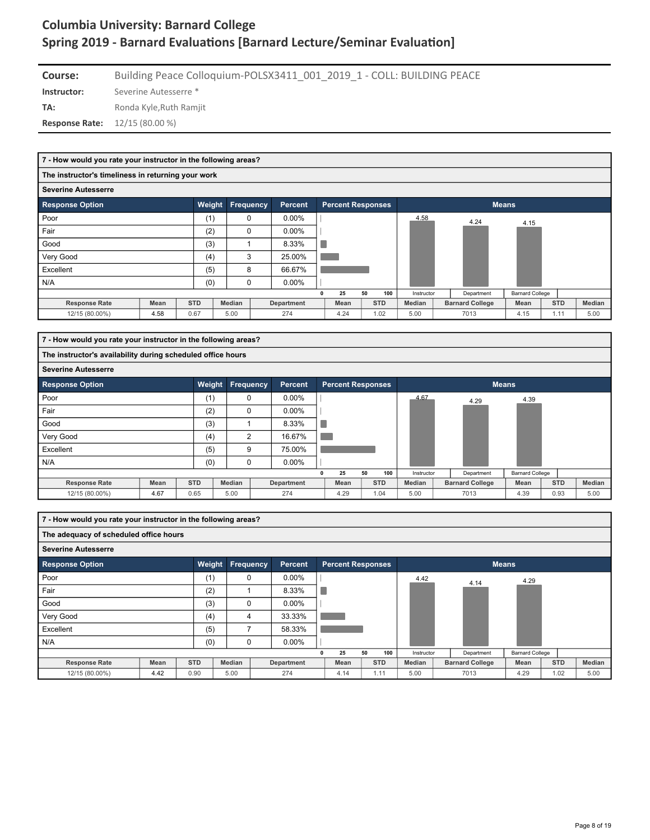| Course:                                | Building Peace Colloquium-POLSX3411 001 2019 1 - COLL: BUILDING PEACE |
|----------------------------------------|-----------------------------------------------------------------------|
| Instructor:                            | Severine Autesserre *                                                 |
| TA:                                    | Ronda Kyle.Ruth Ramiit                                                |
| <b>Response Rate:</b> $12/15(80.00\%)$ |                                                                       |

|                                                                        | 7 - How would you rate your instructor in the following areas? |            |               |  |            |   |                          |    |            |               |              |                        |                        |            |        |  |
|------------------------------------------------------------------------|----------------------------------------------------------------|------------|---------------|--|------------|---|--------------------------|----|------------|---------------|--------------|------------------------|------------------------|------------|--------|--|
| The instructor's timeliness in returning your work                     |                                                                |            |               |  |            |   |                          |    |            |               |              |                        |                        |            |        |  |
| <b>Severine Autesserre</b>                                             |                                                                |            |               |  |            |   |                          |    |            |               |              |                        |                        |            |        |  |
| Weight<br><b>Frequency</b><br><b>Response Option</b><br><b>Percent</b> |                                                                |            |               |  |            |   | <b>Percent Responses</b> |    |            |               | <b>Means</b> |                        |                        |            |        |  |
| Poor                                                                   |                                                                | (1)        | $\mathbf 0$   |  | $0.00\%$   |   |                          |    |            | 4.58          |              | 4.24                   | 4.15                   |            |        |  |
| Fair                                                                   |                                                                | (2)        | $\Omega$      |  | $0.00\%$   |   |                          |    |            |               |              |                        |                        |            |        |  |
| Good                                                                   |                                                                | (3)        |               |  | 8.33%      |   |                          |    |            |               |              |                        |                        |            |        |  |
| Very Good                                                              |                                                                | (4)        | 3             |  | 25.00%     |   |                          |    |            |               |              |                        |                        |            |        |  |
| Excellent                                                              |                                                                | (5)        | 8             |  | 66.67%     |   |                          |    |            |               |              |                        |                        |            |        |  |
| N/A                                                                    |                                                                | (0)        | $\mathbf 0$   |  | $0.00\%$   |   |                          |    |            |               |              |                        |                        |            |        |  |
|                                                                        |                                                                |            |               |  |            | n | 25                       | 50 | 100        | Instructor    |              | Department             | <b>Barnard College</b> |            |        |  |
| <b>Response Rate</b>                                                   | <b>Mean</b>                                                    | <b>STD</b> | <b>Median</b> |  | Department |   | Mean                     |    | <b>STD</b> | <b>Median</b> |              | <b>Barnard College</b> | Mean                   | <b>STD</b> | Median |  |
| 12/15 (80.00%)                                                         | 4.58                                                           | 0.67       | 5.00          |  | 274        |   | 4.24                     |    | 1.02       | 5.00          |              | 7013                   | 4.15                   | 1.11       | 5.00   |  |

|                                                                        | 7 - How would you rate your instructor in the following areas? |            |                |            |  |                          |            |            |                        |                        |            |        |  |  |
|------------------------------------------------------------------------|----------------------------------------------------------------|------------|----------------|------------|--|--------------------------|------------|------------|------------------------|------------------------|------------|--------|--|--|
|                                                                        | The instructor's availability during scheduled office hours    |            |                |            |  |                          |            |            |                        |                        |            |        |  |  |
| <b>Severine Autesserre</b>                                             |                                                                |            |                |            |  |                          |            |            |                        |                        |            |        |  |  |
| Weight<br><b>Frequency</b><br><b>Response Option</b><br><b>Percent</b> |                                                                |            |                |            |  | <b>Percent Responses</b> |            |            | <b>Means</b>           |                        |            |        |  |  |
| Poor                                                                   |                                                                | (1)        | 0              | $0.00\%$   |  |                          |            | 4.67       | 4.29                   | 4.39                   |            |        |  |  |
| Fair                                                                   |                                                                | (2)        | $\mathbf 0$    | $0.00\%$   |  |                          |            |            |                        |                        |            |        |  |  |
| Good                                                                   |                                                                | (3)        |                | 8.33%      |  |                          |            |            |                        |                        |            |        |  |  |
| Very Good                                                              |                                                                | (4)        | $\overline{2}$ | 16.67%     |  |                          |            |            |                        |                        |            |        |  |  |
| Excellent                                                              |                                                                | (5)        | 9              | 75.00%     |  |                          |            |            |                        |                        |            |        |  |  |
| N/A                                                                    |                                                                | (0)        | 0              | $0.00\%$   |  |                          |            |            |                        |                        |            |        |  |  |
|                                                                        |                                                                |            |                |            |  | 25<br>n                  | 50<br>100  | Instructor | Department             | <b>Barnard College</b> |            |        |  |  |
| <b>Response Rate</b>                                                   | Mean                                                           | <b>STD</b> | Median         | Department |  | Mean                     | <b>STD</b> | Median     | <b>Barnard College</b> | Mean                   | <b>STD</b> | Median |  |  |
| 12/15 (80.00%)                                                         | 4.67                                                           | 0.65       | 5.00           | 274        |  | 4.29                     | 1.04       | 5.00       | 7013                   | 4.39                   | 0.93       | 5.00   |  |  |

|                                                                 | 7 - How would you rate your instructor in the following areas? |            |               |  |            |   |                          |    |            |              |  |                        |                        |            |      |        |
|-----------------------------------------------------------------|----------------------------------------------------------------|------------|---------------|--|------------|---|--------------------------|----|------------|--------------|--|------------------------|------------------------|------------|------|--------|
| The adequacy of scheduled office hours                          |                                                                |            |               |  |            |   |                          |    |            |              |  |                        |                        |            |      |        |
| <b>Severine Autesserre</b>                                      |                                                                |            |               |  |            |   |                          |    |            |              |  |                        |                        |            |      |        |
| Weight<br>Frequency<br><b>Response Option</b><br><b>Percent</b> |                                                                |            |               |  |            |   | <b>Percent Responses</b> |    |            | <b>Means</b> |  |                        |                        |            |      |        |
| Poor                                                            |                                                                | (1)        | 0             |  | $0.00\%$   |   |                          |    |            | 4.42         |  | 4.14                   | 4.29                   |            |      |        |
| Fair                                                            |                                                                | (2)        |               |  | 8.33%      |   |                          |    |            |              |  |                        |                        |            |      |        |
| Good                                                            |                                                                | (3)        | $\mathbf 0$   |  | $0.00\%$   |   |                          |    |            |              |  |                        |                        |            |      |        |
| Very Good                                                       |                                                                | (4)        | 4             |  | 33.33%     |   |                          |    |            |              |  |                        |                        |            |      |        |
| Excellent                                                       |                                                                | (5)        |               |  | 58.33%     |   |                          |    |            |              |  |                        |                        |            |      |        |
| N/A                                                             |                                                                | (0)        | $\mathbf 0$   |  | $0.00\%$   |   |                          |    |            |              |  |                        |                        |            |      |        |
|                                                                 |                                                                |            |               |  |            | 0 | 25                       | 50 | 100        | Instructor   |  | Department             | <b>Barnard College</b> |            |      |        |
| <b>Response Rate</b>                                            | Mean                                                           | <b>STD</b> | <b>Median</b> |  | Department |   | Mean                     |    | <b>STD</b> | Median       |  | <b>Barnard College</b> | Mean                   | <b>STD</b> |      | Median |
| 12/15 (80.00%)                                                  | 4.42                                                           | 0.90       | 5.00          |  | 274        |   | 4.14                     |    | 1.11       | 5.00         |  | 7013                   | 4.29                   |            | 1.02 | 5.00   |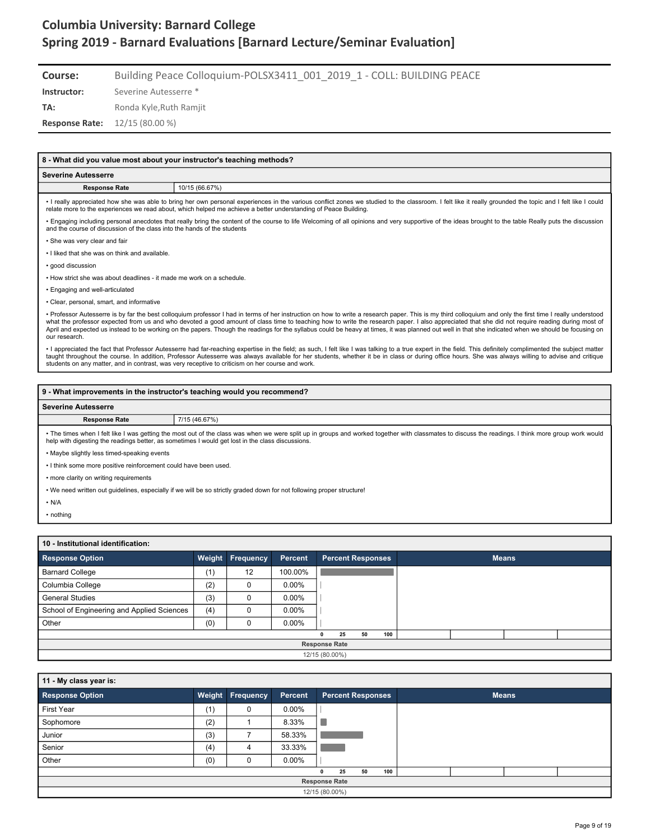**Course:** Building Peace Colloquium-POLSX3411\_001\_2019\_1 - COLL: BUILDING PEACE

**Instructor:** Severine Autesserre \*

TA: Ronda Kyle, Ruth Ramjit

**Response Rate:** 12/15 (80.00 %)

| 8 - What did you value most about your instructor's teaching methods?                                                                                                                                                                                                              |                                                                                                                                                                                                                                                                                                                                                                                                                                                                                                                                                                                                                       |  |  |  |  |  |  |  |  |  |  |
|------------------------------------------------------------------------------------------------------------------------------------------------------------------------------------------------------------------------------------------------------------------------------------|-----------------------------------------------------------------------------------------------------------------------------------------------------------------------------------------------------------------------------------------------------------------------------------------------------------------------------------------------------------------------------------------------------------------------------------------------------------------------------------------------------------------------------------------------------------------------------------------------------------------------|--|--|--|--|--|--|--|--|--|--|
| <b>Severine Autesserre</b>                                                                                                                                                                                                                                                         |                                                                                                                                                                                                                                                                                                                                                                                                                                                                                                                                                                                                                       |  |  |  |  |  |  |  |  |  |  |
| <b>Response Rate</b>                                                                                                                                                                                                                                                               | 10/15 (66.67%)                                                                                                                                                                                                                                                                                                                                                                                                                                                                                                                                                                                                        |  |  |  |  |  |  |  |  |  |  |
|                                                                                                                                                                                                                                                                                    | · I really appreciated how she was able to bring her own personal experiences in the various conflict zones we studied to the classroom. I felt like it really grounded the topic and I felt like I could<br>relate more to the experiences we read about, which helped me achieve a better understanding of Peace Building.                                                                                                                                                                                                                                                                                          |  |  |  |  |  |  |  |  |  |  |
| • Engaging including personal anecdotes that really bring the content of the course to life Welcoming of all opinions and very supportive of the ideas brought to the table Really puts the discussion<br>and the course of discussion of the class into the hands of the students |                                                                                                                                                                                                                                                                                                                                                                                                                                                                                                                                                                                                                       |  |  |  |  |  |  |  |  |  |  |
| • She was very clear and fair                                                                                                                                                                                                                                                      |                                                                                                                                                                                                                                                                                                                                                                                                                                                                                                                                                                                                                       |  |  |  |  |  |  |  |  |  |  |
| . I liked that she was on think and available.                                                                                                                                                                                                                                     |                                                                                                                                                                                                                                                                                                                                                                                                                                                                                                                                                                                                                       |  |  |  |  |  |  |  |  |  |  |
| · good discussion                                                                                                                                                                                                                                                                  |                                                                                                                                                                                                                                                                                                                                                                                                                                                                                                                                                                                                                       |  |  |  |  |  |  |  |  |  |  |
| . How strict she was about deadlines - it made me work on a schedule.                                                                                                                                                                                                              |                                                                                                                                                                                                                                                                                                                                                                                                                                                                                                                                                                                                                       |  |  |  |  |  |  |  |  |  |  |
| • Engaging and well-articulated                                                                                                                                                                                                                                                    |                                                                                                                                                                                                                                                                                                                                                                                                                                                                                                                                                                                                                       |  |  |  |  |  |  |  |  |  |  |
| • Clear, personal, smart, and informative                                                                                                                                                                                                                                          |                                                                                                                                                                                                                                                                                                                                                                                                                                                                                                                                                                                                                       |  |  |  |  |  |  |  |  |  |  |
| our research.                                                                                                                                                                                                                                                                      | • Professor Autesserre is by far the best colloquium professor I had in terms of her instruction on how to write a research paper. This is my third colloquium and only the first time I really understood<br>what the professor expected from us and who devoted a good amount of class time to teaching how to write the research paper. I also appreciated that she did not require reading during most of<br>April and expected us instead to be working on the papers. Though the readings for the syllabus could be heavy at times, it was planned out well in that she indicated when we should be focusing on |  |  |  |  |  |  |  |  |  |  |
|                                                                                                                                                                                                                                                                                    | . I appreciated the fact that Professor Autesserre had far-reaching expertise in the field; as such, I felt like I was talking to a true expert in the field. This definitely complimented the subject matter<br>taught throughout the course. In addition, Professor Autesserre was always available for her students, whether it be in class or during office hours. She was always willing to advise and critique<br>students on any matter, and in contrast, was very receptive to criticism on her course and work.                                                                                              |  |  |  |  |  |  |  |  |  |  |

#### **9 - What improvements in the instructor's teaching would you recommend?**

#### **Severine Autesserre**

**Response Rate** 7/15 (46.67%)

• The times when I felt like I was getting the most out of the class was when we were split up in groups and worked together with classmates to discuss the readings. I think more group work would<br>help with digesting the re

• Maybe slightly less timed-speaking events

• I think some more positive reinforcement could have been used.

• more clarity on writing requirements

• We need written out guidelines, especially if we will be so strictly graded down for not following proper structure!

• N/A

• nothing

| 10 - Institutional identification:         |     |                         |          |   |                          |    |     |  |  |              |  |  |  |
|--------------------------------------------|-----|-------------------------|----------|---|--------------------------|----|-----|--|--|--------------|--|--|--|
| <b>Response Option</b>                     |     | <b>Weight Frequency</b> | Percent  |   | <b>Percent Responses</b> |    |     |  |  | <b>Means</b> |  |  |  |
| <b>Barnard College</b>                     | (1) | 12                      | 100.00%  |   |                          |    |     |  |  |              |  |  |  |
| Columbia College                           | (2) | 0                       | $0.00\%$ |   |                          |    |     |  |  |              |  |  |  |
| <b>General Studies</b>                     | (3) | 0                       | $0.00\%$ |   |                          |    |     |  |  |              |  |  |  |
| School of Engineering and Applied Sciences | (4) | 0                       | $0.00\%$ |   |                          |    |     |  |  |              |  |  |  |
| Other                                      | (0) | 0                       | $0.00\%$ |   |                          |    |     |  |  |              |  |  |  |
|                                            |     |                         |          | 0 | 25                       | 50 | 100 |  |  |              |  |  |  |
| <b>Response Rate</b>                       |     |                         |          |   |                          |    |     |  |  |              |  |  |  |
| 12/15 (80.00%)                             |     |                         |          |   |                          |    |     |  |  |              |  |  |  |

| 11 - My class year is: |     |                         |          |                          |              |  |  |  |  |  |  |
|------------------------|-----|-------------------------|----------|--------------------------|--------------|--|--|--|--|--|--|
| <b>Response Option</b> |     | <b>Weight Frequency</b> | Percent  | <b>Percent Responses</b> | <b>Means</b> |  |  |  |  |  |  |
| First Year             | (1) | 0                       | $0.00\%$ |                          |              |  |  |  |  |  |  |
| Sophomore              | (2) |                         | 8.33%    |                          |              |  |  |  |  |  |  |
| Junior                 | (3) |                         | 58.33%   |                          |              |  |  |  |  |  |  |
| Senior                 | (4) | 4                       | 33.33%   |                          |              |  |  |  |  |  |  |
| Other                  | (0) |                         | $0.00\%$ |                          |              |  |  |  |  |  |  |
|                        |     |                         |          | 100<br>50<br>25<br>0     |              |  |  |  |  |  |  |
| <b>Response Rate</b>   |     |                         |          |                          |              |  |  |  |  |  |  |
| 12/15 (80.00%)         |     |                         |          |                          |              |  |  |  |  |  |  |